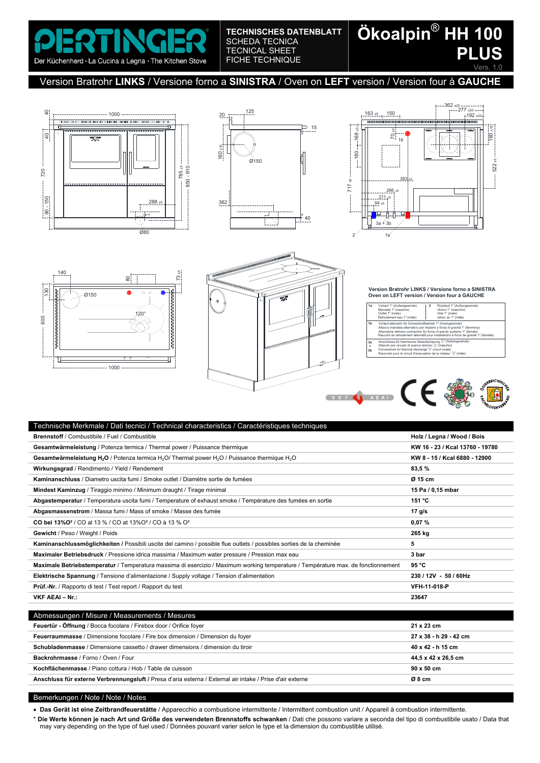Der Küchenherd · La Cucina a Legna · The Kitchen Stove

### **TECHNISCHES DATENBLATT**  SCHEDA TECNICA TECNICAL SHEET FICHE TECHNIQUE

# **Ökoalpin**® **HH 100 PLUS** Vers

## Version Bratrohr **LINKS** / Versione forno a **SINISTRA** / Oven on **LEFT** version / Version four à **GAUCHE**











**Version Bratrohr LINKS / Versione forno a SINISTRA Oven on LEFT version / Version four à GAUCHE**

| 1a                        | Vorlauf 1" (Außengewinde)<br>Mandata 1" (maschio)<br>Outlet 1" (male)<br>Refoulement eau 1" (mâle)                                                                                                                                                                                                          | 2 | Rücklauf 1" (Außengewinde)<br>ritorno 1" (maschio)<br>Inlet 1" (male)<br>retour au 1" (mâle) |  |
|---------------------------|-------------------------------------------------------------------------------------------------------------------------------------------------------------------------------------------------------------------------------------------------------------------------------------------------------------|---|----------------------------------------------------------------------------------------------|--|
| 1 <sub>b</sub>            | Vorlauf alternativ für Schwerkraftbetrieb 1" (Innengewinde)<br>Attacco mandata alternativo per impianti a forza di gravità 1" (femmina)<br>Alternative delivery connection for force of gravity systems 1" (female)<br>Raccord de refoulement alternatif pour installations à force de gravité 1" (femelle) |   |                                                                                              |  |
| 3a<br>÷<br>3 <sub>b</sub> | Anschlüsse für thermische Ablaufsicherung 1/2" (Außengewinde)<br>Attacchi per circuito di scarico termico 1/2" (maschio)<br>Connections for thermal discharge 1/2" circuit (male)<br>Raccords pour le circuit d'évacuation de la chaleur 1/2" (mâle)                                                        |   |                                                                                              |  |



| Fechnische Merkmale / Dati tecnici / Technical characteristics / Caractéristiques techniques                                                    |                                 |
|-------------------------------------------------------------------------------------------------------------------------------------------------|---------------------------------|
| <b>Brennstoff / Combustibile / Fuel / Combustible</b>                                                                                           | Holz / Legna / Wood / Bois      |
| Gesamtwärmeleistung / Potenza termica / Thermal power / Puissance thermique                                                                     | KW 16 - 23 / Kcal 13760 - 19780 |
| Gesamtwärmeleistung H <sub>2</sub> O / Potenza termica H <sub>2</sub> O / Thermal power H <sub>2</sub> O / Puissance thermique H <sub>2</sub> O | KW 8 - 15 / Kcal 6880 - 12900   |
| Wirkungsgrad / Rendimento / Yield / Rendement                                                                                                   | 83,5%                           |
| Kaminanschluss / Diametro uscita fumi / Smoke outlet / Diamètre sortie de fumées                                                                | Ø 15 cm                         |
| Mindest Kaminzug / Tiraggio minimo / Minimum draught / Tirage minimal                                                                           | 15 Pa / 0,15 mbar               |
| Abgastemperatur / Temperatura uscita fumi / Temperature of exhaust smoke / Température des fumées en sortie                                     | 151 °C                          |
| Abgasmassenstrom / Massa fumi / Mass of smoke / Masse des fumée                                                                                 | 17 $q/s$                        |
| <b>CO bei 13%O<sup>2</sup> / CO al 13 % / CO at 13%O<sup>2</sup> / CO à 13 % O<sup>2</sup></b>                                                  | 0,07%                           |
| Gewicht / Peso / Weight / Poids                                                                                                                 | 265 kg                          |
| Kaminanschlussmöglichkeiten / Possibili uscite del camino / possible flue outlets / possibles sorties de la cheminée                            | 5                               |
| Maximaler Betriebsdruck / Pressione idrica massima / Maximum water pressure / Pression max eau                                                  | 3 bar                           |
| Maximale Betriebstemperatur / Temperatura massima di esercizio / Maximum working temperature / Température max. de fonctionnement               | 95 °C                           |
| Elektrische Spannung / Tensione d'alimentazione / Supply voltage / Tension d'alimentation                                                       | 230/12V - 50/60Hz               |
| <b>Prüf.-Nr.</b> / Rapporto di test / Test report / Rapport du test                                                                             | VFH-11-018-P                    |
| VKF AEAI - Nr.:                                                                                                                                 | 23647                           |
|                                                                                                                                                 |                                 |
| Abmessungen / Misure / Measurements / Mesures                                                                                                   |                                 |
| Feuertür - Öffnung / Bocca focolare / Firebox door / Orifice foyer                                                                              | 21 x 23 cm                      |
| Feuerraummasse / Dimensione focolare / Fire box dimension / Dimension du foyer                                                                  | 27 x 38 - h 29 - 42 cm          |

| <b>I cucriaulilliasse</b> / Difficitsione loculate / File Dox ulificitsion / Difficitsion du loyer        | 41 A 30 - 11 43 - 44 CHI |
|-----------------------------------------------------------------------------------------------------------|--------------------------|
| Schubladenmasse / Dimensione cassetto / drawer dimensions / dimension du tiroir                           | 40 x 42 - h 15 cm        |
| Backrohrmasse / Forno / Oven / Four                                                                       | 44,5 x 42 x 26,5 cm      |
| Kochflächenmasse / Piano cottura / Hob / Table de cuisson                                                 | 90 x 50 cm               |
| Anschluss für externe Verbrennungsluft / Presa d'aria esterna / External air intake / Prise d'air externe | Ø8 cm                    |
|                                                                                                           |                          |

#### Bemerkungen / Note / Note / Notes

**Das Gerät ist eine Zeitbrandfeuerstätte** / Apparecchio a combustione intermittente / Intermittent combustion unit / Appareil à combustion intermittente.

\* **Die Werte können je nach Art und Größe des verwendeten Brennstoffs schwanken** / Dati che possono variare a seconda del tipo di combustibile usato / Data that may vary depending on the type of fuel used / Données pouvant varier selon le type et la dimension du combustible utilisé.